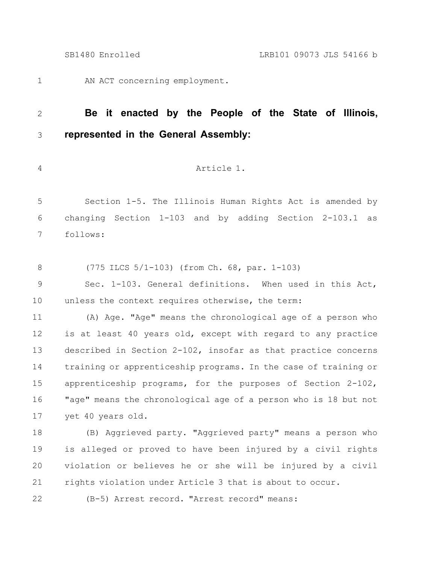AN ACT concerning employment. 1

## **Be it enacted by the People of the State of Illinois, represented in the General Assembly:** 2 3

4

# Article 1.

Section 1-5. The Illinois Human Rights Act is amended by changing Section 1-103 and by adding Section 2-103.1 as follows: 5 6 7

(775 ILCS 5/1-103) (from Ch. 68, par. 1-103) 8

Sec. 1-103. General definitions. When used in this Act, unless the context requires otherwise, the term: 9 10

(A) Age. "Age" means the chronological age of a person who is at least 40 years old, except with regard to any practice described in Section 2-102, insofar as that practice concerns training or apprenticeship programs. In the case of training or apprenticeship programs, for the purposes of Section 2-102, "age" means the chronological age of a person who is 18 but not yet 40 years old. 11 12 13 14 15 16 17

(B) Aggrieved party. "Aggrieved party" means a person who is alleged or proved to have been injured by a civil rights violation or believes he or she will be injured by a civil rights violation under Article 3 that is about to occur. 18 19 20 21

22

(B-5) Arrest record. "Arrest record" means: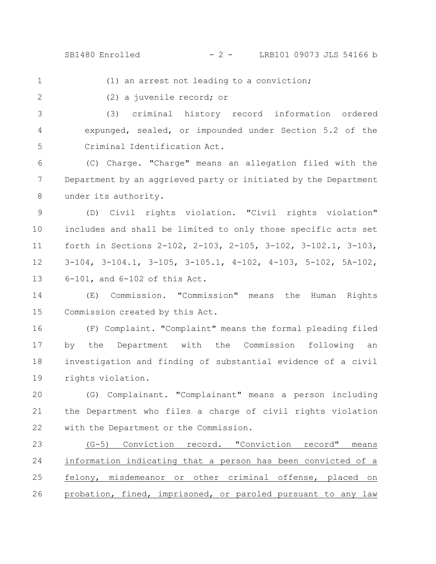1

(1) an arrest not leading to a conviction;

2

(2) a juvenile record; or

(3) criminal history record information ordered expunged, sealed, or impounded under Section 5.2 of the Criminal Identification Act. 3 4 5

(C) Charge. "Charge" means an allegation filed with the Department by an aggrieved party or initiated by the Department under its authority. 6 7 8

(D) Civil rights violation. "Civil rights violation" includes and shall be limited to only those specific acts set forth in Sections 2-102, 2-103, 2-105, 3-102, 3-102.1, 3-103, 3-104, 3-104.1, 3-105, 3-105.1, 4-102, 4-103, 5-102, 5A-102, 6-101, and 6-102 of this Act. 9 10 11 12 13

(E) Commission. "Commission" means the Human Rights Commission created by this Act. 14 15

(F) Complaint. "Complaint" means the formal pleading filed by the Department with the Commission following an investigation and finding of substantial evidence of a civil rights violation. 16 17 18 19

(G) Complainant. "Complainant" means a person including the Department who files a charge of civil rights violation with the Department or the Commission. 20 21 22

(G-5) Conviction record. "Conviction record" means information indicating that a person has been convicted of a felony, misdemeanor or other criminal offense, placed on probation, fined, imprisoned, or paroled pursuant to any law 23 24 25 26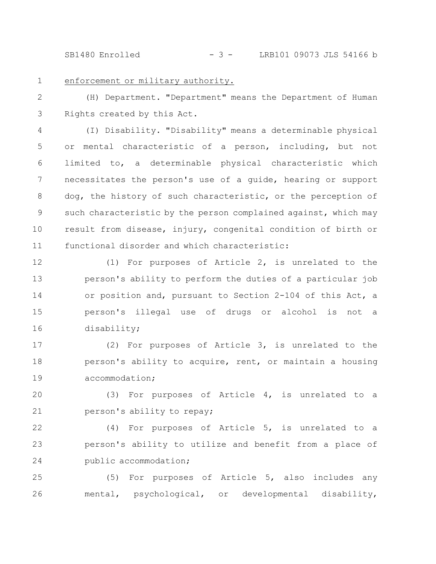SB1480 Enrolled - 3 - LRB101 09073 JLS 54166 b

1

## enforcement or military authority.

(H) Department. "Department" means the Department of Human Rights created by this Act. 2 3

(I) Disability. "Disability" means a determinable physical or mental characteristic of a person, including, but not limited to, a determinable physical characteristic which necessitates the person's use of a guide, hearing or support dog, the history of such characteristic, or the perception of such characteristic by the person complained against, which may result from disease, injury, congenital condition of birth or functional disorder and which characteristic: 4 5 6 7 8 9 10 11

(1) For purposes of Article 2, is unrelated to the person's ability to perform the duties of a particular job or position and, pursuant to Section 2-104 of this Act, a person's illegal use of drugs or alcohol is not a disability; 12 13 14 15 16

(2) For purposes of Article 3, is unrelated to the person's ability to acquire, rent, or maintain a housing accommodation; 17 18 19

(3) For purposes of Article 4, is unrelated to a person's ability to repay; 20 21

(4) For purposes of Article 5, is unrelated to a person's ability to utilize and benefit from a place of public accommodation; 22 23 24

(5) For purposes of Article 5, also includes any mental, psychological, or developmental disability, 25 26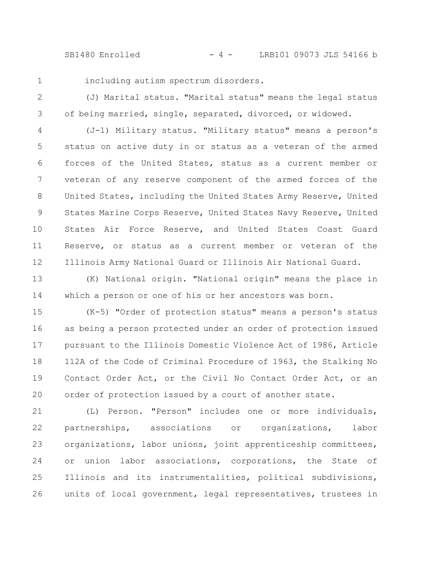SB1480 Enrolled - 4 - LRB101 09073 JLS 54166 b

1

including autism spectrum disorders.

(J) Marital status. "Marital status" means the legal status of being married, single, separated, divorced, or widowed. 2 3

(J-1) Military status. "Military status" means a person's status on active duty in or status as a veteran of the armed forces of the United States, status as a current member or veteran of any reserve component of the armed forces of the United States, including the United States Army Reserve, United States Marine Corps Reserve, United States Navy Reserve, United States Air Force Reserve, and United States Coast Guard Reserve, or status as a current member or veteran of the Illinois Army National Guard or Illinois Air National Guard. 4 5 6 7 8 9 10 11 12

(K) National origin. "National origin" means the place in which a person or one of his or her ancestors was born. 13 14

(K-5) "Order of protection status" means a person's status as being a person protected under an order of protection issued pursuant to the Illinois Domestic Violence Act of 1986, Article 112A of the Code of Criminal Procedure of 1963, the Stalking No Contact Order Act, or the Civil No Contact Order Act, or an order of protection issued by a court of another state. 15 16 17 18 19 20

(L) Person. "Person" includes one or more individuals, partnerships, associations or organizations, labor organizations, labor unions, joint apprenticeship committees, or union labor associations, corporations, the State of Illinois and its instrumentalities, political subdivisions, units of local government, legal representatives, trustees in 21 22 23 24 25 26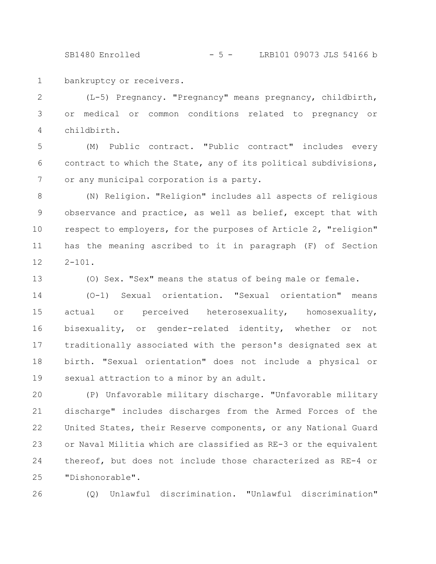SB1480 Enrolled - 5 - LRB101 09073 JLS 54166 b

bankruptcy or receivers. 1

(L-5) Pregnancy. "Pregnancy" means pregnancy, childbirth, or medical or common conditions related to pregnancy or childbirth. 2 3 4

(M) Public contract. "Public contract" includes every contract to which the State, any of its political subdivisions, or any municipal corporation is a party. 5 6 7

(N) Religion. "Religion" includes all aspects of religious observance and practice, as well as belief, except that with respect to employers, for the purposes of Article 2, "religion" has the meaning ascribed to it in paragraph (F) of Section  $2 - 101$ . 8 9 10 11 12

(O) Sex. "Sex" means the status of being male or female. 13

(O-1) Sexual orientation. "Sexual orientation" means actual or perceived heterosexuality, homosexuality, bisexuality, or gender-related identity, whether or not traditionally associated with the person's designated sex at birth. "Sexual orientation" does not include a physical or sexual attraction to a minor by an adult. 14 15 16 17 18 19

(P) Unfavorable military discharge. "Unfavorable military discharge" includes discharges from the Armed Forces of the United States, their Reserve components, or any National Guard or Naval Militia which are classified as RE-3 or the equivalent thereof, but does not include those characterized as RE-4 or "Dishonorable". 20 21 22 23 24 25

(Q) Unlawful discrimination. "Unlawful discrimination" 26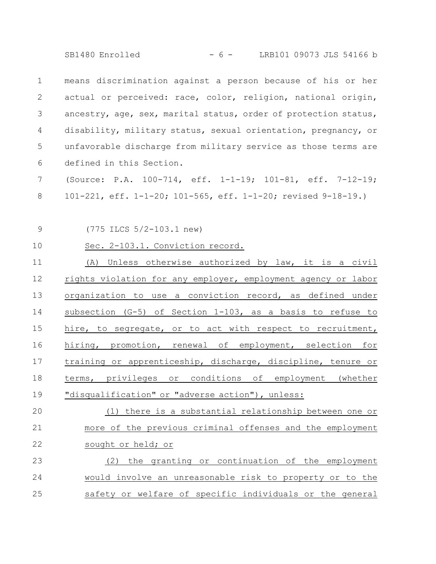SB1480 Enrolled - 6 - LRB101 09073 JLS 54166 b

means discrimination against a person because of his or her actual or perceived: race, color, religion, national origin, ancestry, age, sex, marital status, order of protection status, disability, military status, sexual orientation, pregnancy, or unfavorable discharge from military service as those terms are defined in this Section. 1 2 3 4 5 6

(Source: P.A. 100-714, eff. 1-1-19; 101-81, eff. 7-12-19; 101-221, eff. 1-1-20; 101-565, eff. 1-1-20; revised 9-18-19.) 7 8

9

(775 ILCS 5/2-103.1 new)

10

## Sec. 2-103.1. Conviction record.

(A) Unless otherwise authorized by law, it is a civil rights violation for any employer, employment agency or labor organization to use a conviction record, as defined under subsection (G-5) of Section 1-103, as a basis to refuse to hire, to segregate, or to act with respect to recruitment, hiring, promotion, renewal of employment, selection for training or apprenticeship, discharge, discipline, tenure or terms, privileges or conditions of employment (whether "disqualification" or "adverse action"), unless: 11 12 13 14 15 16 17 18 19

### (1) there is a substantial relationship between one or more of the previous criminal offenses and the employment sought or held; or 20 21 22

### (2) the granting or continuation of the employment would involve an unreasonable risk to property or to the safety or welfare of specific individuals or the general 23 24 25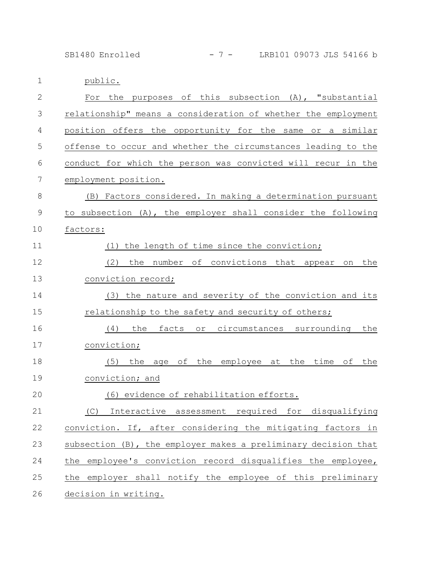SB1480 Enrolled - 7 - LRB101 09073 JLS 54166 b

1 public.

| $\mathbf{2}$ | purposes of this subsection (A), "substantial<br>the<br>For          |
|--------------|----------------------------------------------------------------------|
| 3            | relationship" means a consideration of whether the employment        |
| 4            | position offers the opportunity for the same or a similar            |
| 5            | offense to occur and whether the circumstances leading to the        |
| 6            | conduct for which the person was convicted will recur in the         |
| 7            | employment position.                                                 |
| $\,8\,$      | (B) Factors considered. In making a determination pursuant           |
| $\mathsf 9$  | to subsection (A), the employer shall consider the following         |
| 10           | factors:                                                             |
| 11           | (1) the length of time since the conviction;                         |
| 12           | the number of convictions that appear on<br>(2)<br>the               |
| 13           | conviction record;                                                   |
| 14           | (3) the nature and severity of the conviction and its                |
| 15           | relationship to the safety and security of others;                   |
| 16           | (4)<br>the<br>facts<br>or circumstances surrounding<br>the           |
| 17           | conviction;                                                          |
| 18           | the employee at the time<br>оf<br>(5)<br>the age of<br>the           |
| 19           | conviction; and                                                      |
| 20           | (6) evidence of rehabilitation efforts.                              |
| 21           | for<br>disqualifying<br>(C)<br>required<br>Interactive<br>assessment |
| 22           | conviction. If, after considering the mitigating factors in          |
| 23           | subsection (B), the employer makes a preliminary decision that       |
| 24           | the employee's conviction record disqualifies the employee,          |
| 25           | the employer shall notify the employee of this preliminary           |
| 26           | <u>decision in writing.</u>                                          |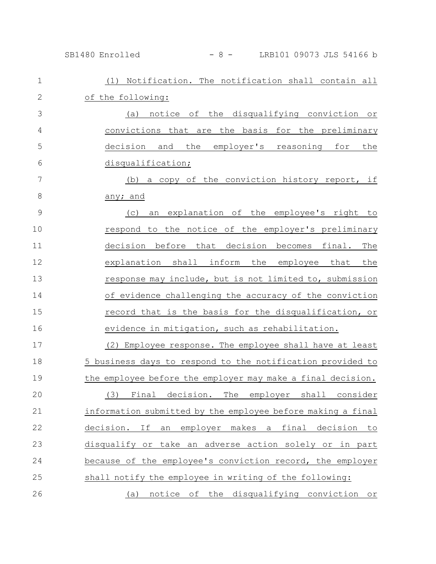SB1480 Enrolled - 8 - LRB101 09073 JLS 54166 b

| $\mathbf 1$    | (1) Notification. The notification shall contain all        |
|----------------|-------------------------------------------------------------|
| $\mathbf{2}$   | of the following:                                           |
| 3              | (a) notice of the disqualifying conviction or               |
| $\overline{4}$ | convictions that are the basis for the preliminary          |
| 5              | decision and the employer's reasoning for<br>the            |
| 6              | disqualification;                                           |
| 7              | (b) a copy of the conviction history report, if             |
| $8\,$          | any; and                                                    |
| $\mathcal{G}$  | an explanation of the employee's right to<br>(C)            |
| 10             | respond to the notice of the employer's preliminary         |
| 11             | decision before that decision becomes final.<br>The         |
| 12             | explanation shall inform the employee that<br>the           |
| 13             | response may include, but is not limited to, submission     |
| 14             | of evidence challenging the accuracy of the conviction      |
| 15             | record that is the basis for the disqualification, or       |
| 16             | evidence in mitigation, such as rehabilitation.             |
| 17             | (2) Employee response. The employee shall have at least     |
| 18             | 5 business days to respond to the notification provided to  |
| 19             | the employee before the employer may make a final decision. |
| 20             | (3) Final decision. The employer shall consider             |
| 21             | information submitted by the employee before making a final |
| 22             | decision. If an employer makes a final decision to          |
| 23             | disqualify or take an adverse action solely or in part      |
| 24             | because of the employee's conviction record, the employer   |
| 25             | shall notify the employee in writing of the following:      |
| 26             | notice of the disqualifying conviction or<br>(a)            |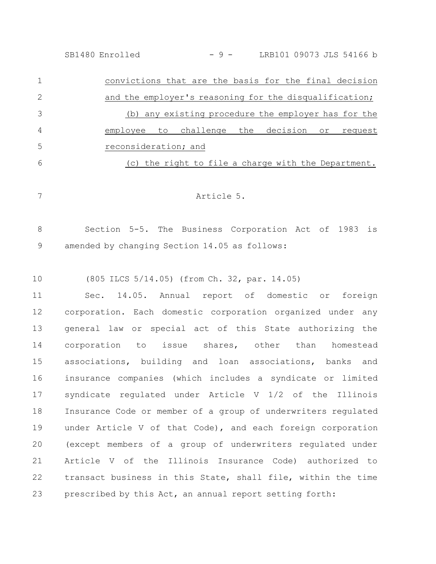SB1480 Enrolled - 9 - LRB101 09073 JLS 54166 b

convictions that are the basis for the final decision and the employer's reasoning for the disqualification; (b) any existing procedure the employer has for the employee to challenge the decision or request reconsideration; and (c) the right to file a charge with the Department. 1 2 3 4 5 6

7

Article 5.

Section 5-5. The Business Corporation Act of 1983 is amended by changing Section 14.05 as follows: 8 9

(805 ILCS 5/14.05) (from Ch. 32, par. 14.05) 10

Sec. 14.05. Annual report of domestic or foreign corporation. Each domestic corporation organized under any general law or special act of this State authorizing the corporation to issue shares, other than homestead associations, building and loan associations, banks and insurance companies (which includes a syndicate or limited syndicate regulated under Article V 1/2 of the Illinois Insurance Code or member of a group of underwriters regulated under Article V of that Code), and each foreign corporation (except members of a group of underwriters regulated under Article V of the Illinois Insurance Code) authorized to transact business in this State, shall file, within the time prescribed by this Act, an annual report setting forth: 11 12 13 14 15 16 17 18 19 20 21 22 23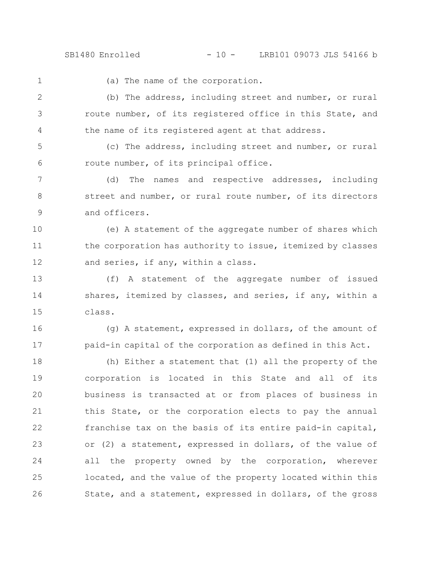SB1480 Enrolled - 10 - LRB101 09073 JLS 54166 b

(a) The name of the corporation. (b) The address, including street and number, or rural route number, of its registered office in this State, and the name of its registered agent at that address. (c) The address, including street and number, or rural route number, of its principal office. (d) The names and respective addresses, including street and number, or rural route number, of its directors and officers. (e) A statement of the aggregate number of shares which the corporation has authority to issue, itemized by classes and series, if any, within a class. (f) A statement of the aggregate number of issued shares, itemized by classes, and series, if any, within a class. (g) A statement, expressed in dollars, of the amount of paid-in capital of the corporation as defined in this Act. (h) Either a statement that (1) all the property of the corporation is located in this State and all of its business is transacted at or from places of business in this State, or the corporation elects to pay the annual franchise tax on the basis of its entire paid-in capital, or (2) a statement, expressed in dollars, of the value of all the property owned by the corporation, wherever located, and the value of the property located within this 1 2 3 4 5 6 7 8 9 10 11 12 13 14 15 16 17 18 19 20 21 22 23 24 25

State, and a statement, expressed in dollars, of the gross

26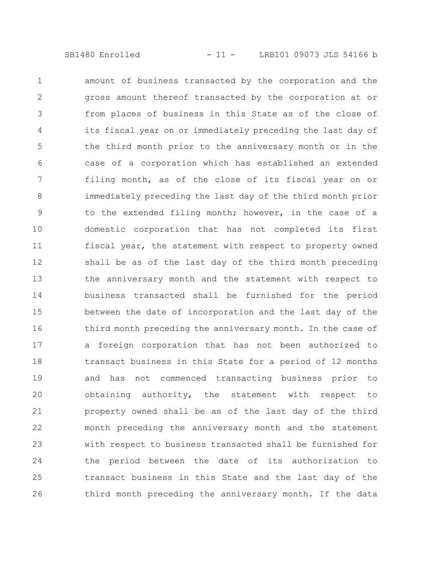amount of business transacted by the corporation and the gross amount thereof transacted by the corporation at or from places of business in this State as of the close of its fiscal year on or immediately preceding the last day of the third month prior to the anniversary month or in the case of a corporation which has established an extended filing month, as of the close of its fiscal year on or immediately preceding the last day of the third month prior to the extended filing month; however, in the case of a domestic corporation that has not completed its first fiscal year, the statement with respect to property owned shall be as of the last day of the third month preceding the anniversary month and the statement with respect to business transacted shall be furnished for the period between the date of incorporation and the last day of the third month preceding the anniversary month. In the case of a foreign corporation that has not been authorized to transact business in this State for a period of 12 months and has not commenced transacting business prior to obtaining authority, the statement with respect to property owned shall be as of the last day of the third month preceding the anniversary month and the statement with respect to business transacted shall be furnished for the period between the date of its authorization to transact business in this State and the last day of the third month preceding the anniversary month. If the data 1 2 3 4 5 6 7 8 9 10 11 12 13 14 15 16 17 18 19 20 21 22 23 24 25 26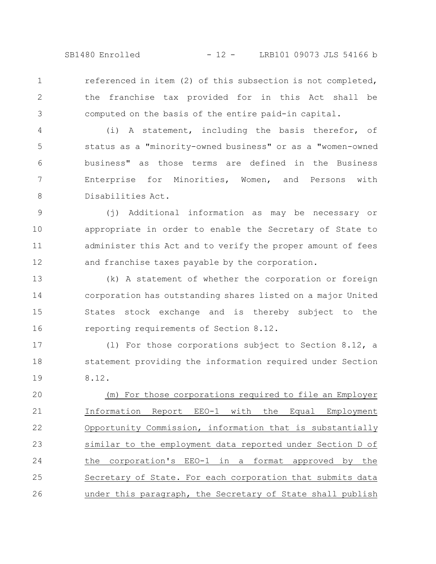SB1480 Enrolled - 12 - LRB101 09073 JLS 54166 b

referenced in item (2) of this subsection is not completed, the franchise tax provided for in this Act shall be computed on the basis of the entire paid-in capital. 1 2 3

(i) A statement, including the basis therefor, of status as a "minority-owned business" or as a "women-owned business" as those terms are defined in the Business Enterprise for Minorities, Women, and Persons with Disabilities Act. 4 5 6 7 8

(j) Additional information as may be necessary or appropriate in order to enable the Secretary of State to administer this Act and to verify the proper amount of fees and franchise taxes payable by the corporation. 9 10 11 12

(k) A statement of whether the corporation or foreign corporation has outstanding shares listed on a major United States stock exchange and is thereby subject to the reporting requirements of Section 8.12. 13 14 15 16

(l) For those corporations subject to Section 8.12, a statement providing the information required under Section 8.12. 17 18 19

(m) For those corporations required to file an Employer Information Report EEO-1 with the Equal Employment Opportunity Commission, information that is substantially similar to the employment data reported under Section D of the corporation's EEO-1 in a format approved by the Secretary of State. For each corporation that submits data under this paragraph, the Secretary of State shall publish 20 21 22 23 24 25 26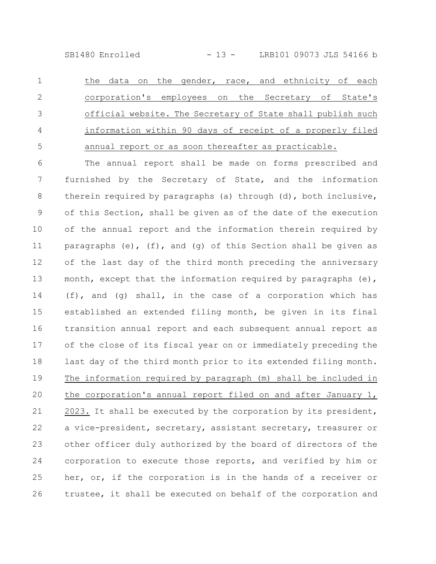SB1480 Enrolled - 13 - LRB101 09073 JLS 54166 b

the data on the gender, race, and ethnicity of each corporation's employees on the Secretary of State's official website. The Secretary of State shall publish such information within 90 days of receipt of a properly filed annual report or as soon thereafter as practicable. 1 2 3 4 5

The annual report shall be made on forms prescribed and furnished by the Secretary of State, and the information therein required by paragraphs (a) through (d), both inclusive, of this Section, shall be given as of the date of the execution of the annual report and the information therein required by paragraphs (e), (f), and (g) of this Section shall be given as of the last day of the third month preceding the anniversary month, except that the information required by paragraphs  $(e)$ , (f), and (g) shall, in the case of a corporation which has established an extended filing month, be given in its final transition annual report and each subsequent annual report as of the close of its fiscal year on or immediately preceding the last day of the third month prior to its extended filing month. The information required by paragraph (m) shall be included in the corporation's annual report filed on and after January 1, 2023. It shall be executed by the corporation by its president, a vice-president, secretary, assistant secretary, treasurer or other officer duly authorized by the board of directors of the corporation to execute those reports, and verified by him or her, or, if the corporation is in the hands of a receiver or trustee, it shall be executed on behalf of the corporation and 6 7 8 9 10 11 12 13 14 15 16 17 18 19 20 21 22 23 24 25 26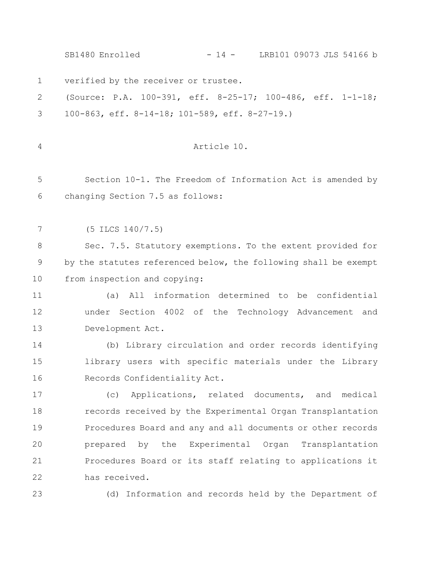|              | $-14$ - LRB101 09073 JLS 54166 b<br>SB1480 Enrolled             |
|--------------|-----------------------------------------------------------------|
| $\mathbf{1}$ | verified by the receiver or trustee.                            |
| 2            | (Source: P.A. 100-391, eff. 8-25-17; 100-486, eff. 1-1-18;      |
| 3            | 100-863, eff. 8-14-18; 101-589, eff. 8-27-19.)                  |
|              |                                                                 |
| 4            | Article 10.                                                     |
|              |                                                                 |
| 5            | Section 10-1. The Freedom of Information Act is amended by      |
| 6            | changing Section 7.5 as follows:                                |
|              |                                                                 |
| 7            | $(5$ ILCS $140/7.5)$                                            |
| 8            | Sec. 7.5. Statutory exemptions. To the extent provided for      |
| 9            | by the statutes referenced below, the following shall be exempt |
| 10           | from inspection and copying:                                    |
| 11           | All information determined to be confidential<br>(a)            |
| 12           | under Section 4002 of the Technology Advancement and            |
| 13           | Development Act.                                                |
| 14           | (b) Library circulation and order records identifying           |
| 15           | library users with specific materials under the Library         |
| 16           | Records Confidentiality Act.                                    |
| 17           | (c) Applications, related documents, and medical                |
| 18           | records received by the Experimental Organ Transplantation      |
| 19           | Procedures Board and any and all documents or other records     |
| 20           | prepared by the Experimental Organ Transplantation              |
| 21           | Procedures Board or its staff relating to applications it       |
| 22           | has received.                                                   |
| 23           | (d) Information and records held by the Department of           |
|              |                                                                 |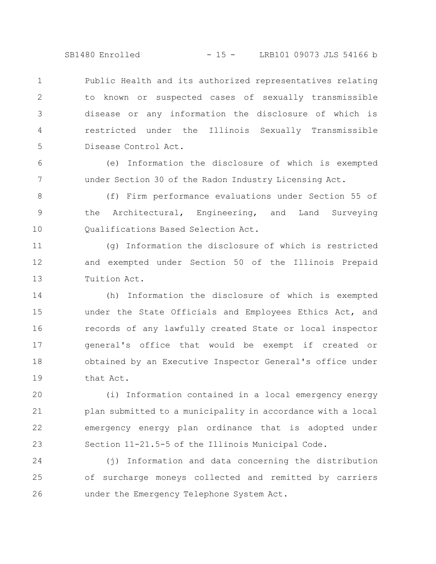SB1480 Enrolled - 15 - LRB101 09073 JLS 54166 b

Public Health and its authorized representatives relating to known or suspected cases of sexually transmissible disease or any information the disclosure of which is restricted under the Illinois Sexually Transmissible Disease Control Act. 1 2 3 4 5

(e) Information the disclosure of which is exempted under Section 30 of the Radon Industry Licensing Act. 6 7

(f) Firm performance evaluations under Section 55 of the Architectural, Engineering, and Land Surveying Qualifications Based Selection Act. 8 9 10

(g) Information the disclosure of which is restricted and exempted under Section 50 of the Illinois Prepaid Tuition Act. 11 12 13

(h) Information the disclosure of which is exempted under the State Officials and Employees Ethics Act, and records of any lawfully created State or local inspector general's office that would be exempt if created or obtained by an Executive Inspector General's office under that Act. 14 15 16 17 18 19

(i) Information contained in a local emergency energy plan submitted to a municipality in accordance with a local emergency energy plan ordinance that is adopted under Section 11-21.5-5 of the Illinois Municipal Code. 20 21 22 23

(j) Information and data concerning the distribution of surcharge moneys collected and remitted by carriers under the Emergency Telephone System Act. 24 25 26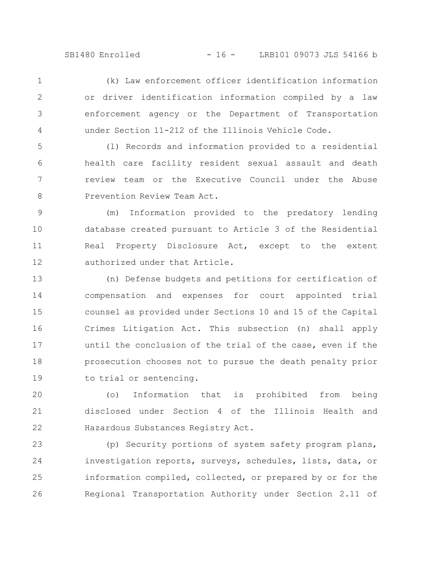(k) Law enforcement officer identification information or driver identification information compiled by a law enforcement agency or the Department of Transportation under Section 11-212 of the Illinois Vehicle Code. 1 2 3 4

(l) Records and information provided to a residential health care facility resident sexual assault and death review team or the Executive Council under the Abuse Prevention Review Team Act. 5 6 7 8

(m) Information provided to the predatory lending database created pursuant to Article 3 of the Residential Real Property Disclosure Act, except to the extent authorized under that Article. 9 10 11 12

(n) Defense budgets and petitions for certification of compensation and expenses for court appointed trial counsel as provided under Sections 10 and 15 of the Capital Crimes Litigation Act. This subsection (n) shall apply until the conclusion of the trial of the case, even if the prosecution chooses not to pursue the death penalty prior to trial or sentencing. 13 14 15 16 17 18 19

(o) Information that is prohibited from being disclosed under Section 4 of the Illinois Health and Hazardous Substances Registry Act. 20 21 22

(p) Security portions of system safety program plans, investigation reports, surveys, schedules, lists, data, or information compiled, collected, or prepared by or for the Regional Transportation Authority under Section 2.11 of 23 24 25 26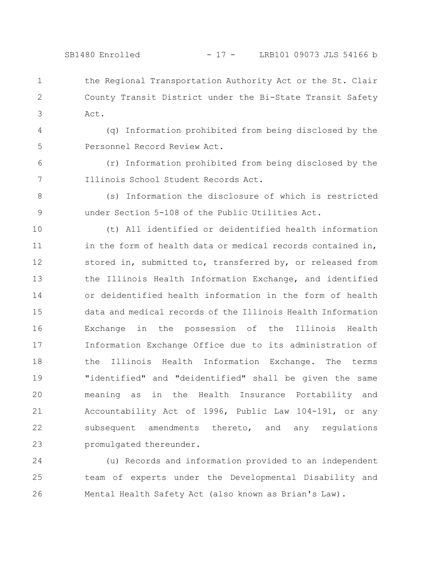## SB1480 Enrolled - 17 - LRB101 09073 JLS 54166 b

the Regional Transportation Authority Act or the St. Clair County Transit District under the Bi-State Transit Safety Act. 1 2 3

4 5

6

(q) Information prohibited from being disclosed by the Personnel Record Review Act.

(r) Information prohibited from being disclosed by the Illinois School Student Records Act. 7

8

(s) Information the disclosure of which is restricted under Section 5-108 of the Public Utilities Act. 9

(t) All identified or deidentified health information in the form of health data or medical records contained in, stored in, submitted to, transferred by, or released from the Illinois Health Information Exchange, and identified or deidentified health information in the form of health data and medical records of the Illinois Health Information Exchange in the possession of the Illinois Health Information Exchange Office due to its administration of the Illinois Health Information Exchange. The terms "identified" and "deidentified" shall be given the same meaning as in the Health Insurance Portability and Accountability Act of 1996, Public Law 104-191, or any subsequent amendments thereto, and any regulations promulgated thereunder. 10 11 12 13 14 15 16 17 18 19 20 21 22 23

(u) Records and information provided to an independent team of experts under the Developmental Disability and Mental Health Safety Act (also known as Brian's Law). 24 25 26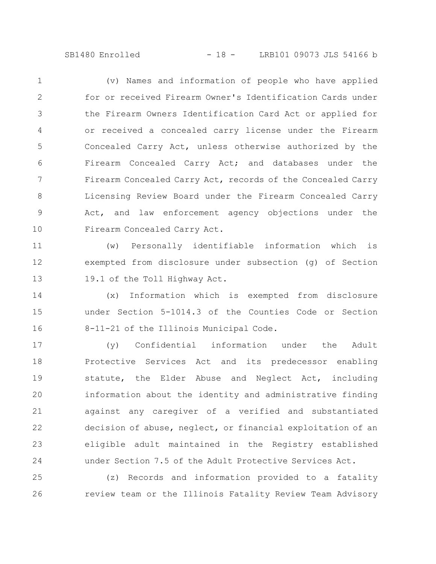SB1480 Enrolled - 18 - LRB101 09073 JLS 54166 b

(v) Names and information of people who have applied for or received Firearm Owner's Identification Cards under the Firearm Owners Identification Card Act or applied for or received a concealed carry license under the Firearm Concealed Carry Act, unless otherwise authorized by the Firearm Concealed Carry Act; and databases under the Firearm Concealed Carry Act, records of the Concealed Carry Licensing Review Board under the Firearm Concealed Carry Act, and law enforcement agency objections under the Firearm Concealed Carry Act. 1 2 3 4 5 6 7 8 9 10

(w) Personally identifiable information which is exempted from disclosure under subsection (g) of Section 19.1 of the Toll Highway Act. 11 12 13

(x) Information which is exempted from disclosure under Section 5-1014.3 of the Counties Code or Section 8-11-21 of the Illinois Municipal Code. 14 15 16

(y) Confidential information under the Adult Protective Services Act and its predecessor enabling statute, the Elder Abuse and Neglect Act, including information about the identity and administrative finding against any caregiver of a verified and substantiated decision of abuse, neglect, or financial exploitation of an eligible adult maintained in the Registry established under Section 7.5 of the Adult Protective Services Act. 17 18 19 20 21 22 23 24

(z) Records and information provided to a fatality review team or the Illinois Fatality Review Team Advisory 25 26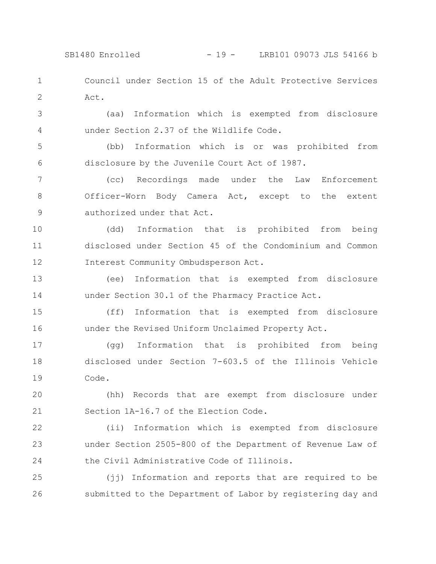SB1480 Enrolled - 19 - LRB101 09073 JLS 54166 b

Council under Section 15 of the Adult Protective Services Act. 1 2

(aa) Information which is exempted from disclosure under Section 2.37 of the Wildlife Code. 3 4

(bb) Information which is or was prohibited from disclosure by the Juvenile Court Act of 1987. 5 6

(cc) Recordings made under the Law Enforcement Officer-Worn Body Camera Act, except to the extent authorized under that Act. 7 8 9

(dd) Information that is prohibited from being disclosed under Section 45 of the Condominium and Common Interest Community Ombudsperson Act. 10 11 12

(ee) Information that is exempted from disclosure under Section 30.1 of the Pharmacy Practice Act. 13 14

(ff) Information that is exempted from disclosure under the Revised Uniform Unclaimed Property Act. 15 16

(gg) Information that is prohibited from being disclosed under Section 7-603.5 of the Illinois Vehicle Code. 17 18 19

(hh) Records that are exempt from disclosure under Section 1A-16.7 of the Election Code. 20 21

(ii) Information which is exempted from disclosure under Section 2505-800 of the Department of Revenue Law of the Civil Administrative Code of Illinois. 22 23 24

(jj) Information and reports that are required to be submitted to the Department of Labor by registering day and 25 26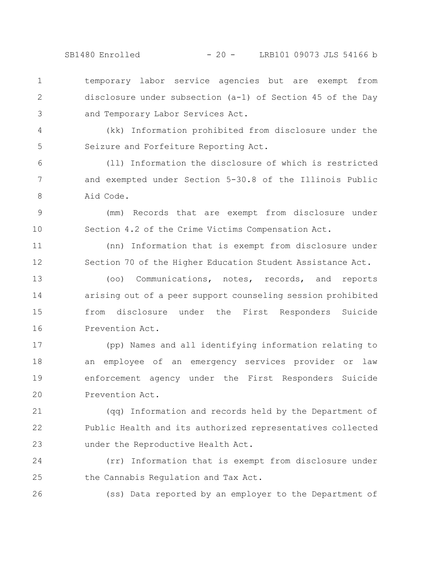SB1480 Enrolled - 20 - LRB101 09073 JLS 54166 b

temporary labor service agencies but are exempt from disclosure under subsection (a-1) of Section 45 of the Day and Temporary Labor Services Act. 1 2 3

(kk) Information prohibited from disclosure under the Seizure and Forfeiture Reporting Act.

4

5

26

(ll) Information the disclosure of which is restricted and exempted under Section 5-30.8 of the Illinois Public Aid Code. 6 7 8

(mm) Records that are exempt from disclosure under Section 4.2 of the Crime Victims Compensation Act. 9 10

(nn) Information that is exempt from disclosure under Section 70 of the Higher Education Student Assistance Act. 11 12

(oo) Communications, notes, records, and reports arising out of a peer support counseling session prohibited from disclosure under the First Responders Suicide Prevention Act. 13 14 15 16

(pp) Names and all identifying information relating to an employee of an emergency services provider or law enforcement agency under the First Responders Suicide Prevention Act. 17 18 19 20

(qq) Information and records held by the Department of Public Health and its authorized representatives collected under the Reproductive Health Act. 21 22 23

(rr) Information that is exempt from disclosure under the Cannabis Regulation and Tax Act. 24 25

(ss) Data reported by an employer to the Department of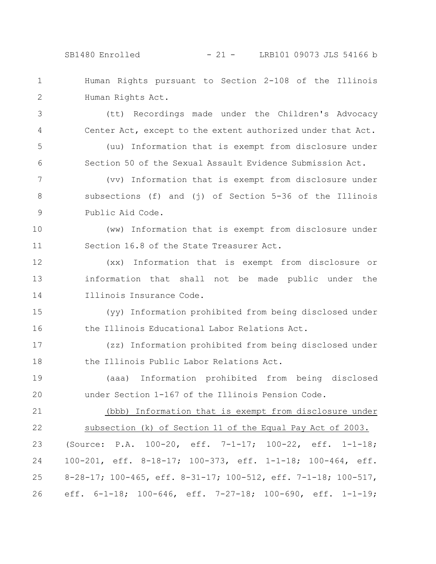## SB1480 Enrolled - 21 - LRB101 09073 JLS 54166 b

Human Rights pursuant to Section 2-108 of the Illinois Human Rights Act. 1 2

3

4

5

6

(tt) Recordings made under the Children's Advocacy Center Act, except to the extent authorized under that Act.

(uu) Information that is exempt from disclosure under Section 50 of the Sexual Assault Evidence Submission Act.

(vv) Information that is exempt from disclosure under subsections (f) and (j) of Section 5-36 of the Illinois Public Aid Code. 7 8 9

(ww) Information that is exempt from disclosure under Section 16.8 of the State Treasurer Act. 10 11

(xx) Information that is exempt from disclosure or information that shall not be made public under the Illinois Insurance Code. 12 13 14

(yy) Information prohibited from being disclosed under the Illinois Educational Labor Relations Act. 15 16

(zz) Information prohibited from being disclosed under the Illinois Public Labor Relations Act. 17 18

(aaa) Information prohibited from being disclosed under Section 1-167 of the Illinois Pension Code. 19 20

21

(bbb) Information that is exempt from disclosure under

subsection (k) of Section 11 of the Equal Pay Act of 2003. (Source: P.A. 100-20, eff. 7-1-17; 100-22, eff. 1-1-18; 100-201, eff. 8-18-17; 100-373, eff. 1-1-18; 100-464, eff. 8-28-17; 100-465, eff. 8-31-17; 100-512, eff. 7-1-18; 100-517, eff. 6-1-18; 100-646, eff. 7-27-18; 100-690, eff. 1-1-19; 22 23 24 25 26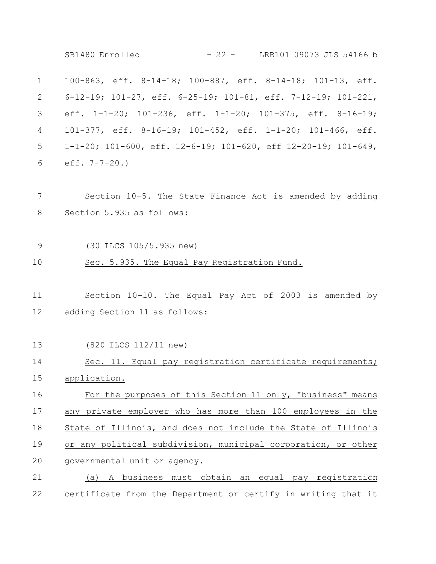100-863, eff. 8-14-18; 100-887, eff. 8-14-18; 101-13, eff. 6-12-19; 101-27, eff. 6-25-19; 101-81, eff. 7-12-19; 101-221, eff. 1-1-20; 101-236, eff. 1-1-20; 101-375, eff. 8-16-19; 101-377, eff. 8-16-19; 101-452, eff. 1-1-20; 101-466, eff. 1-1-20; 101-600, eff. 12-6-19; 101-620, eff 12-20-19; 101-649, eff. 7-7-20.) Section 10-5. The State Finance Act is amended by adding Section 5.935 as follows: (30 ILCS 105/5.935 new) Sec. 5.935. The Equal Pay Registration Fund. Section 10-10. The Equal Pay Act of 2003 is amended by adding Section 11 as follows: (820 ILCS 112/11 new) Sec. 11. Equal pay registration certificate requirements; application. For the purposes of this Section 11 only, "business" means any private employer who has more than 100 employees in the State of Illinois, and does not include the State of Illinois or any political subdivision, municipal corporation, or other governmental unit or agency. (a) A business must obtain an equal pay registration certificate from the Department or certify in writing that it 1 2 3 4 5 6 7 8 9 10 11 12 13 14 15 16 17 18 19 20 21 22 SB1480 Enrolled - 22 - LRB101 09073 JLS 54166 b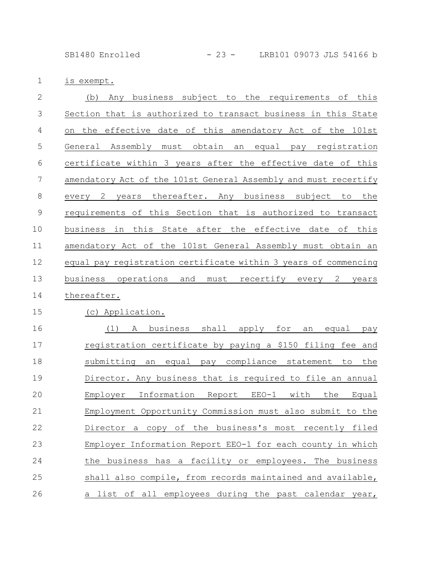SB1480 Enrolled - 23 - LRB101 09073 JLS 54166 b

is exempt. 1

| $\overline{2}$ | subject to the requirements of this<br>Any business<br>(b)             |
|----------------|------------------------------------------------------------------------|
| 3              | Section that is authorized to transact business in this State          |
| 4              | the effective date of this amendatory Act of the 101st<br>on           |
| 5              | General Assembly must obtain an equal<br>registration<br>pay           |
| 6              | certificate within 3 years after the effective date of this            |
| 7              | amendatory Act of the 101st General Assembly and must recertify        |
| 8              | thereafter. Any business subject to<br>the<br>2 years<br>every         |
| $\mathcal{G}$  | requirements of this Section that is authorized to transact            |
| 10             | business in this State after the effective date of this                |
| 11             | amendatory Act of the 101st General Assembly must obtain an            |
| 12             | equal pay registration certificate within 3 years of commencing        |
| 13             | operations<br>and<br>must<br>recertify every<br>business<br>2<br>years |
| 14             | thereafter.                                                            |
| 15             | Application.<br>(C)                                                    |
| 16             | (1)<br>business shall apply<br>for<br>Α<br>equal<br>an<br>pay          |
| 17             | registration certificate by paying a \$150 filing fee and              |
| 18             | submitting<br>compliance statement<br>equal<br>to<br>the<br>an<br>pay  |

Director. Any business that is required to file an annual Employer Information Report EEO-1 with the Equal Employment Opportunity Commission must also submit to the Director a copy of the business's most recently filed Employer Information Report EEO-1 for each county in which the business has a facility or employees. The business shall also compile, from records maintained and available, a list of all employees during the past calendar year, 19 20 21 22 23 24 25 26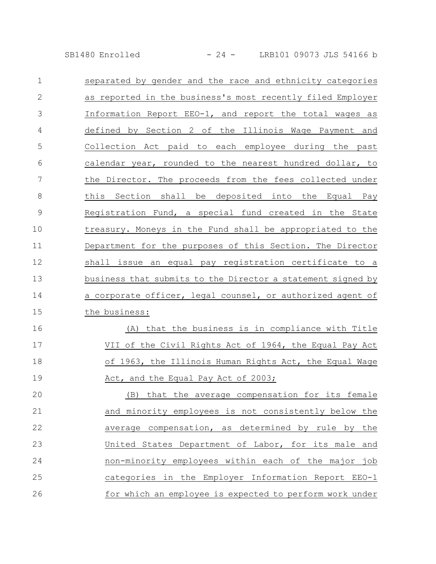SB1480 Enrolled - 24 - LRB101 09073 JLS 54166 b

| $\mathbf 1$   | separated by gender and the race and ethnicity categories   |
|---------------|-------------------------------------------------------------|
| $\mathbf{2}$  | as reported in the business's most recently filed Employer  |
| 3             | Information Report EEO-1, and report the total wages as     |
| 4             | defined by Section 2 of the Illinois Wage Payment and       |
| 5             | Collection Act paid to each employee during the past        |
| 6             | calendar year, rounded to the nearest hundred dollar, to    |
| 7             | the Director. The proceeds from the fees collected under    |
| 8             | this Section shall be deposited into the Equal Pay          |
| $\mathcal{G}$ | Registration Fund, a special fund created in the State      |
| 10            | treasury. Moneys in the Fund shall be appropriated to the   |
| 11            | Department for the purposes of this Section. The Director   |
| 12            | shall issue an equal pay registration certificate to a      |
| 13            | business that submits to the Director a statement signed by |
| 14            | a corporate officer, legal counsel, or authorized agent of  |
| 15            | the business:                                               |
| 16            | (A) that the business is in compliance with Title           |
| 17            | VII of the Civil Rights Act of 1964, the Equal Pay Act      |
| 18            | of 1963, the Illinois Human Rights Act, the Equal Wage      |

Act, and the Equal Pay Act of 2003; 19

(B) that the average compensation for its female and minority employees is not consistently below the average compensation, as determined by rule by the United States Department of Labor, for its male and non-minority employees within each of the major job categories in the Employer Information Report EEO-1 for which an employee is expected to perform work under 20 21 22 23 24 25 26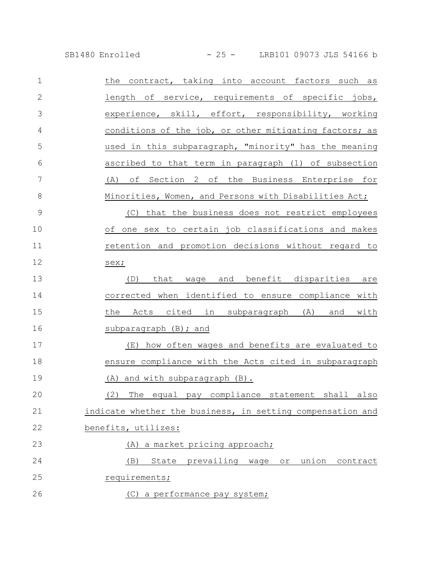SB1480 Enrolled - 25 - LRB101 09073 JLS 54166 b

| $\mathbf 1$   | the contract, taking into account factors such as          |
|---------------|------------------------------------------------------------|
| $\mathbf{2}$  | length of service, requirements of specific jobs,          |
| 3             | experience, skill, effort, responsibility, working         |
| 4             | conditions of the job, or other mitigating factors; as     |
| 5             | used in this subparagraph, "minority" has the meaning      |
| 6             | ascribed to that term in paragraph (1) of subsection       |
| 7             | (A) of Section 2 of the Business Enterprise for            |
| 8             | Minorities, Women, and Persons with Disabilities Act;      |
| $\mathcal{G}$ | (C) that the business does not restrict employees          |
| 10            | one sex to certain job classifications and makes<br>of     |
| 11            | retention and promotion decisions without regard to        |
| 12            | sex;                                                       |
| 13            | wage and benefit disparities are<br>that<br>(D)            |
| 14            | corrected when identified to ensure compliance with        |
| 15            | the Acts cited in subparagraph (A) and with                |
| 16            | subparagraph (B); and                                      |
| 17            | (E) how often wages and benefits are evaluated to          |
| 18            | ensure compliance with the Acts cited in subparagraph      |
| 19            | (A) and with subparagraph (B).                             |
| 20            | (2) The equal pay compliance statement shall<br>also       |
| 21            | indicate whether the business, in setting compensation and |
| 22            | benefits, utilizes:                                        |
| 23            | (A) a market pricing approach;                             |
| 24            | (B)<br>State prevailing wage<br>union<br>contract<br>or    |
| 25            | requirements;                                              |
| 26            | (C) a performance pay system;                              |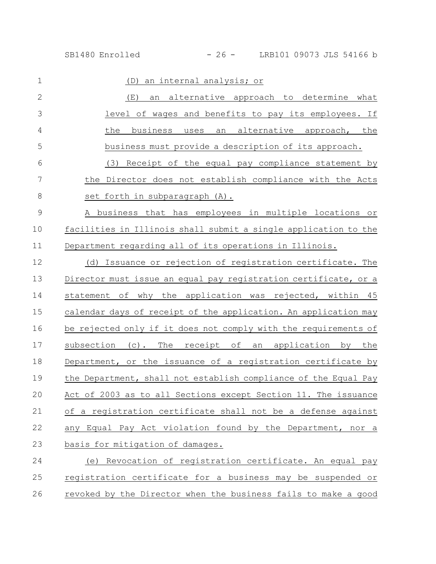| $\mathbf 1$    | an internal analysis; or<br>(D)                                 |
|----------------|-----------------------------------------------------------------|
| $\overline{2}$ | an alternative approach to determine what<br>(E)                |
| 3              | level of wages and benefits to pay its employees. If            |
| 4              | an alternative approach, the<br>the<br>business<br>uses         |
| 5              | business must provide a description of its approach.            |
| 6              | (3) Receipt of the equal pay compliance statement by            |
| 7              | the Director does not establish compliance with the Acts        |
| 8              | set forth in subparagraph (A).                                  |
| $\mathcal{G}$  | A business that has employees in multiple locations or          |
| 10             | facilities in Illinois shall submit a single application to the |
| 11             | Department regarding all of its operations in Illinois.         |
| 12             | (d) Issuance or rejection of registration certificate. The      |
| 13             | Director must issue an equal pay registration certificate, or a |
| 14             | statement of why the application was rejected, within 45        |
| 15             | calendar days of receipt of the application. An application may |
| 16             | be rejected only if it does not comply with the requirements of |
| 17             | subsection (c).<br>The receipt of<br>an application by the      |
| 18             | Department, or the issuance of a registration certificate by    |
| 19             | the Department, shall not establish compliance of the Equal Pay |
| 20             | Act of 2003 as to all Sections except Section 11. The issuance  |
| 21             | of a registration certificate shall not be a defense against    |
| 22             | any Equal Pay Act violation found by the Department, nor a      |
| 23             | basis for mitigation of damages.                                |
| 24             | (e) Revocation of registration certificate. An equal pay        |
| 25             | registration certificate for a business may be suspended or     |

26 revoked by the Director when the business fails to make a good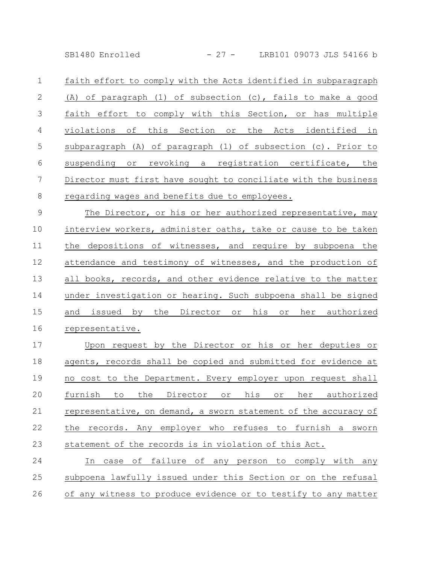SB1480 Enrolled - 27 - LRB101 09073 JLS 54166 b

faith effort to comply with the Acts identified in subparagraph (A) of paragraph (1) of subsection (c), fails to make a good faith effort to comply with this Section, or has multiple violations of this Section or the Acts identified in subparagraph (A) of paragraph (1) of subsection (c). Prior to suspending or revoking a registration certificate, the Director must first have sought to conciliate with the business regarding wages and benefits due to employees. 1 2 3 4 5 6 7 8

The Director, or his or her authorized representative, may interview workers, administer oaths, take or cause to be taken the depositions of witnesses, and require by subpoena the attendance and testimony of witnesses, and the production of all books, records, and other evidence relative to the matter under investigation or hearing. Such subpoena shall be signed and issued by the Director or his or her authorized representative. 9 10 11 12 13 14 15 16

Upon request by the Director or his or her deputies or agents, records shall be copied and submitted for evidence at no cost to the Department. Every employer upon request shall furnish to the Director or his or her authorized representative, on demand, a sworn statement of the accuracy of the records. Any employer who refuses to furnish a sworn statement of the records is in violation of this Act. 17 18 19 20 21 22 23

In case of failure of any person to comply with any subpoena lawfully issued under this Section or on the refusal of any witness to produce evidence or to testify to any matter 24 25 26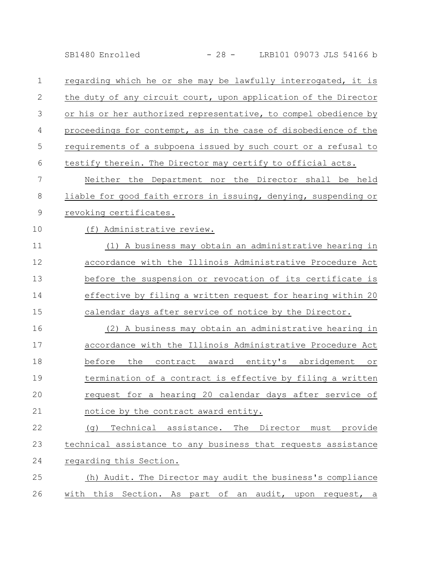SB1480 Enrolled - 28 - LRB101 09073 JLS 54166 b

| $\mathbf 1$  | regarding which he or she may be lawfully interrogated, it is   |
|--------------|-----------------------------------------------------------------|
| $\mathbf{2}$ | the duty of any circuit court, upon application of the Director |
| 3            | or his or her authorized representative, to compel obedience by |
| 4            | proceedings for contempt, as in the case of disobedience of the |
| 5            | requirements of a subpoena issued by such court or a refusal to |
| 6            | testify therein. The Director may certify to official acts.     |
| 7            | Neither the Department nor the Director shall be held           |
| 8            | liable for good faith errors in issuing, denying, suspending or |
| 9            | revoking certificates.                                          |
| 10           | (f) Administrative review.                                      |
| 11           | (1) A business may obtain an administrative hearing in          |
| 12           | accordance with the Illinois Administrative Procedure Act       |
| 13           | before the suspension or revocation of its certificate is       |
| 14           | effective by filing a written request for hearing within 20     |
| 15           | calendar days after service of notice by the Director.          |
| 16           | A business may obtain an administrative hearing in<br>(2)       |
| 17           | accordance with the Illinois Administrative Procedure Act       |
| 18           | before the contract award entity's abridgement or               |
| 19           | termination of a contract is effective by filing a written      |
| 20           | request for a hearing 20 calendar days after service of         |
| 21           | notice by the contract award entity.                            |
| 22           | Technical assistance. The Director must provide<br>(d)          |
| 23           | technical assistance to any business that requests assistance   |
| 24           | regarding this Section.                                         |
| 25           | (h) Audit. The Director may audit the business's compliance     |
| 26           | with this Section. As part of an audit, upon request, a         |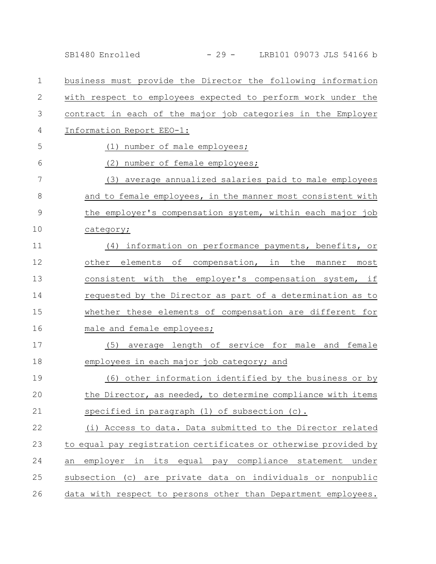|             | - 29 - LRB101 09073 JLS 54166 b<br>SB1480 Enrolled              |
|-------------|-----------------------------------------------------------------|
| 1           | business must provide the Director the following information    |
| 2           | with respect to employees expected to perform work under the    |
| 3           | contract in each of the major job categories in the Employer    |
| 4           | Information Report EEO-1:                                       |
| 5           | (1) number of male employees;                                   |
| 6           | (2) number of female employees;                                 |
| 7           | (3) average annualized salaries paid to male employees          |
| 8           | and to female employees, in the manner most consistent with     |
| $\mathsf 9$ | the employer's compensation system, within each major job       |
| 10          | category;                                                       |
| 11          | (4) information on performance payments, benefits, or           |
| 12          | other elements of compensation, in the manner<br>most           |
| 13          | consistent with the employer's compensation system, if          |
| 14          | requested by the Director as part of a determination as to      |
| 15          | whether these elements of compensation are different for        |
| 16          | male and female employees;                                      |
| 17          | average length of service for male and female<br>(5)            |
| 18          | employees in each major job category; and                       |
| 19          | (6) other information identified by the business or by          |
| 20          | the Director, as needed, to determine compliance with items     |
| 21          | specified in paragraph (1) of subsection (c).                   |
| 22          | (i) Access to data. Data submitted to the Director related      |
| 23          | to equal pay registration certificates or otherwise provided by |
| 24          | employer in its equal pay compliance statement under<br>an      |
| 25          | subsection (c) are private data on individuals or nonpublic     |
| 26          | data with respect to persons other than Department employees.   |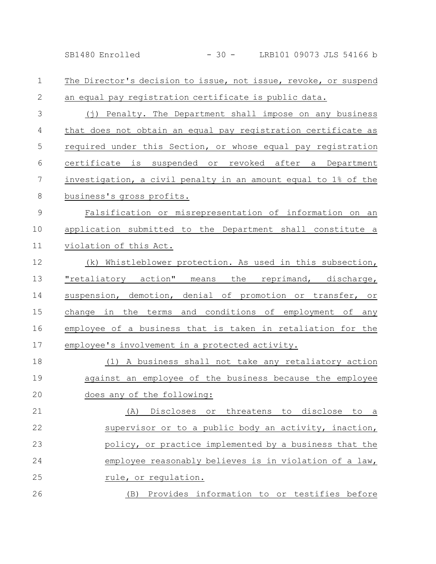SB1480 Enrolled - 30 - LRB101 09073 JLS 54166 b

The Director's decision to issue, not issue, revoke, or suspend an equal pay registration certificate is public data. 1 2

(j) Penalty. The Department shall impose on any business that does not obtain an equal pay registration certificate as required under this Section, or whose equal pay registration certificate is suspended or revoked after a Department investigation, a civil penalty in an amount equal to 1% of the business's gross profits. 3 4 5 6 7 8

Falsification or misrepresentation of information on an application submitted to the Department shall constitute a violation of this Act. 9 10 11

(k) Whistleblower protection. As used in this subsection, "retaliatory action" means the reprimand, discharge, suspension, demotion, denial of promotion or transfer, or change in the terms and conditions of employment of any employee of a business that is taken in retaliation for the employee's involvement in a protected activity. 12 13 14 15 16 17

(1) A business shall not take any retaliatory action against an employee of the business because the employee does any of the following: 18 19 20

(A) Discloses or threatens to disclose to a supervisor or to a public body an activity, inaction, policy, or practice implemented by a business that the employee reasonably believes is in violation of a law, rule, or regulation. 21 22 23 24 25 26

(B) Provides information to or testifies before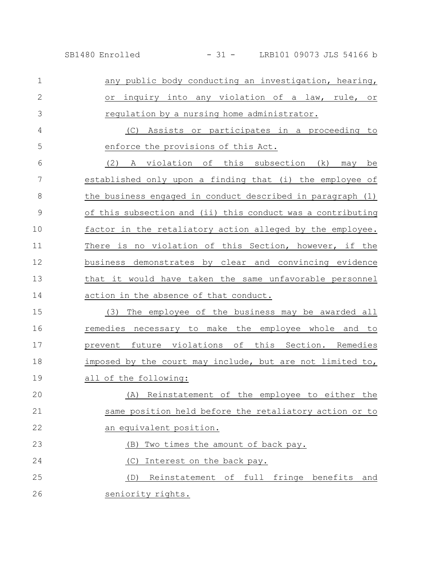any public body conducting an investigation, hearing, or inquiry into any violation of a law, rule, or regulation by a nursing home administrator. (C) Assists or participates in a proceeding to enforce the provisions of this Act. (2) A violation of this subsection (k) may be established only upon a finding that (i) the employee of the business engaged in conduct described in paragraph (1) of this subsection and (ii) this conduct was a contributing factor in the retaliatory action alleged by the employee. There is no violation of this Section, however, if the business demonstrates by clear and convincing evidence that it would have taken the same unfavorable personnel action in the absence of that conduct. (3) The employee of the business may be awarded all remedies necessary to make the employee whole and to prevent future violations of this Section. Remedies imposed by the court may include, but are not limited to, all of the following: (A) Reinstatement of the employee to either the same position held before the retaliatory action or to an equivalent position. (B) Two times the amount of back pay. (C) Interest on the back pay. (D) Reinstatement of full fringe benefits and seniority rights. 1 2 3 4 5 6 7 8 9 10 11 12 13 14 15 16 17 18 19 20 21 22 23 24 25 26